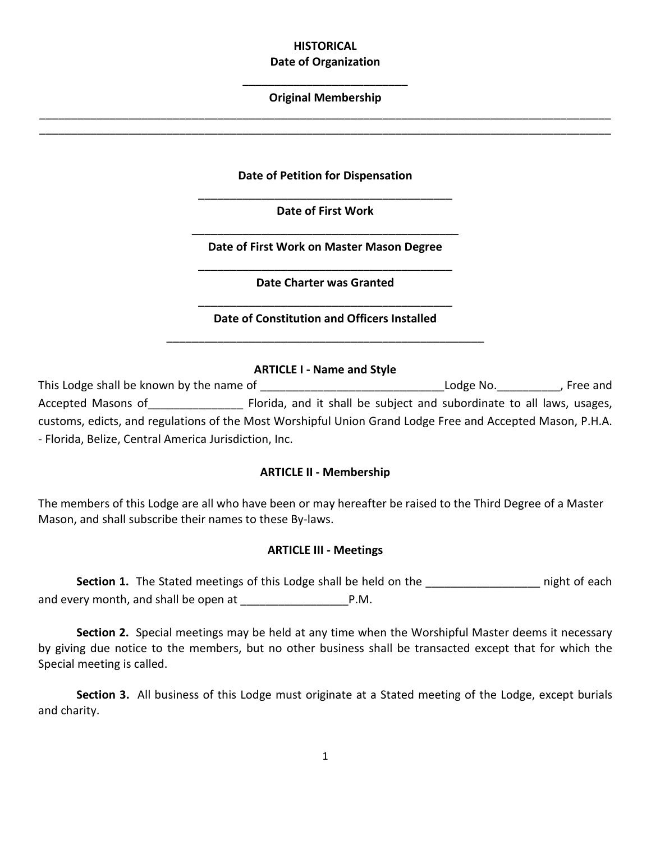# **HISTORICAL Date of Organization**

# \_\_\_\_\_\_\_\_\_\_\_\_\_\_\_\_\_\_\_\_\_\_\_\_\_\_ **Original Membership** \_\_\_\_\_\_\_\_\_\_\_\_\_\_\_\_\_\_\_\_\_\_\_\_\_\_\_\_\_\_\_\_\_\_\_\_\_\_\_\_\_\_\_\_\_\_\_\_\_\_\_\_\_\_\_\_\_\_\_\_\_\_\_\_\_\_\_\_\_\_\_\_\_\_\_\_\_\_\_\_\_\_\_\_\_\_\_\_\_\_

\_\_\_\_\_\_\_\_\_\_\_\_\_\_\_\_\_\_\_\_\_\_\_\_\_\_\_\_\_\_\_\_\_\_\_\_\_\_\_\_\_\_\_\_\_\_\_\_\_\_\_\_\_\_\_\_\_\_\_\_\_\_\_\_\_\_\_\_\_\_\_\_\_\_\_\_\_\_\_\_\_\_\_\_\_\_\_\_\_\_

**Date of Petition for Dispensation**

\_\_\_\_\_\_\_\_\_\_\_\_\_\_\_\_\_\_\_\_\_\_\_\_\_\_\_\_\_\_\_\_\_\_\_\_\_\_\_\_ **Date of First Work**

\_\_\_\_\_\_\_\_\_\_\_\_\_\_\_\_\_\_\_\_\_\_\_\_\_\_\_\_\_\_\_\_\_\_\_\_\_\_\_\_\_\_ **Date of First Work on Master Mason Degree**

\_\_\_\_\_\_\_\_\_\_\_\_\_\_\_\_\_\_\_\_\_\_\_\_\_\_\_\_\_\_\_\_\_\_\_\_\_\_\_\_ **Date Charter was Granted**

\_\_\_\_\_\_\_\_\_\_\_\_\_\_\_\_\_\_\_\_\_\_\_\_\_\_\_\_\_\_\_\_\_\_\_\_\_\_\_\_ **Date of Constitution and Officers Installed** \_\_\_\_\_\_\_\_\_\_\_\_\_\_\_\_\_\_\_\_\_\_\_\_\_\_\_\_\_\_\_\_\_\_\_\_\_\_\_\_\_\_\_\_\_\_\_\_\_\_

### **ARTICLE I - Name and Style**

This Lodge shall be known by the name of example and the state of the lodge No. This Lodge No. Accepted Masons of \_\_\_\_\_\_\_\_\_\_\_\_\_\_\_\_ Florida, and it shall be subject and subordinate to all laws, usages, customs, edicts, and regulations of the Most Worshipful Union Grand Lodge Free and Accepted Mason, P.H.A. - Florida, Belize, Central America Jurisdiction, Inc.

# **ARTICLE II - Membership**

The members of this Lodge are all who have been or may hereafter be raised to the Third Degree of a Master Mason, and shall subscribe their names to these By-laws.

### **ARTICLE III - Meetings**

**Section 1.** The Stated meetings of this Lodge shall be held on the **Each** night of each and every month, and shall be open at \_\_\_\_\_\_\_\_\_\_\_\_\_\_\_\_\_P.M.

**Section 2.** Special meetings may be held at any time when the Worshipful Master deems it necessary by giving due notice to the members, but no other business shall be transacted except that for which the Special meeting is called.

**Section 3.** All business of this Lodge must originate at a Stated meeting of the Lodge, except burials and charity.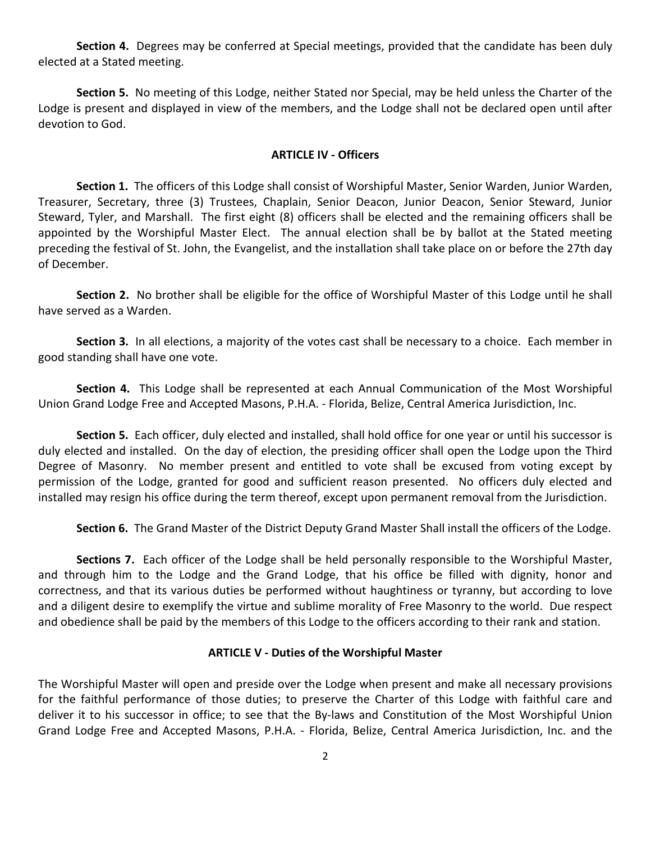**Section 4.** Degrees may be conferred at Special meetings, provided that the candidate has been duly elected at a Stated meeting.

**Section 5.** No meeting of this Lodge, neither Stated nor Special, may be held unless the Charter of the Lodge is present and displayed in view of the members, and the Lodge shall not be declared open until after devotion to God.

### **ARTICLE IV - Officers**

**Section 1.** The officers of this Lodge shall consist of Worshipful Master, Senior Warden, Junior Warden, Treasurer, Secretary, three (3) Trustees, Chaplain, Senior Deacon, Junior Deacon, Senior Steward, Junior Steward, Tyler, and Marshall. The first eight (8) officers shall be elected and the remaining officers shall be appointed by the Worshipful Master Elect. The annual election shall be by ballot at the Stated meeting preceding the festival of St. John, the Evangelist, and the installation shall take place on or before the 27th day of December.

**Section 2.** No brother shall be eligible for the office of Worshipful Master of this Lodge until he shall have served as a Warden.

**Section 3.** In all elections, a majority of the votes cast shall be necessary to a choice. Each member in good standing shall have one vote.

**Section 4.** This Lodge shall be represented at each Annual Communication of the Most Worshipful Union Grand Lodge Free and Accepted Masons, P.H.A. - Florida, Belize, Central America Jurisdiction, Inc.

**Section 5.** Each officer, duly elected and installed, shall hold office for one year or until his successor is duly elected and installed. On the day of election, the presiding officer shall open the Lodge upon the Third Degree of Masonry. No member present and entitled to vote shall be excused from voting except by permission of the Lodge, granted for good and sufficient reason presented. No officers duly elected and installed may resign his office during the term thereof, except upon permanent removal from the Jurisdiction.

**Section 6.** The Grand Master of the District Deputy Grand Master Shall install the officers of the Lodge.

**Sections 7.** Each officer of the Lodge shall be held personally responsible to the Worshipful Master, and through him to the Lodge and the Grand Lodge, that his office be filled with dignity, honor and correctness, and that its various duties be performed without haughtiness or tyranny, but according to love and a diligent desire to exemplify the virtue and sublime morality of Free Masonry to the world. Due respect and obedience shall be paid by the members of this Lodge to the officers according to their rank and station.

#### **ARTICLE V - Duties of the Worshipful Master**

The Worshipful Master will open and preside over the Lodge when present and make all necessary provisions for the faithful performance of those duties; to preserve the Charter of this Lodge with faithful care and deliver it to his successor in office; to see that the By-laws and Constitution of the Most Worshipful Union Grand Lodge Free and Accepted Masons, P.H.A. - Florida, Belize, Central America Jurisdiction, Inc. and the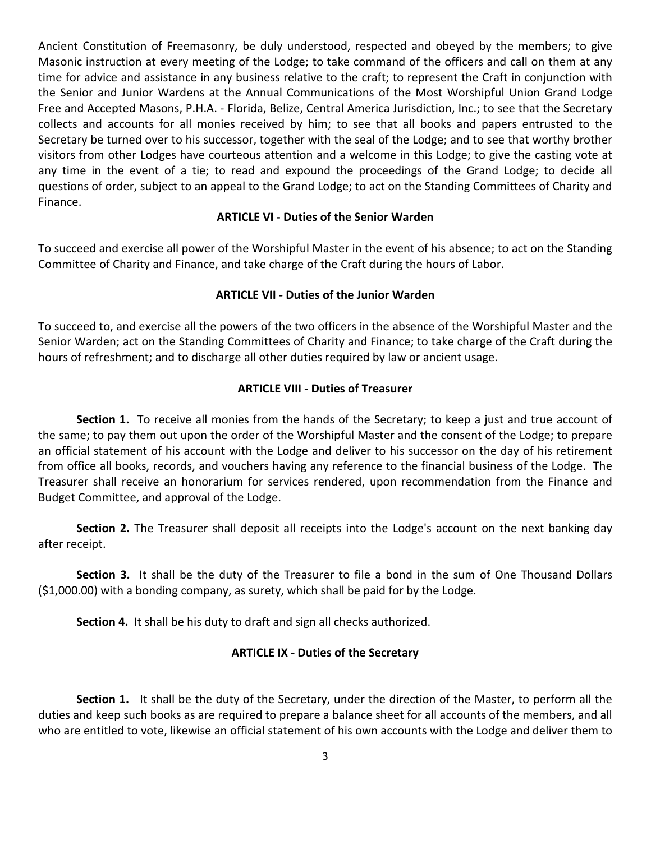Ancient Constitution of Freemasonry, be duly understood, respected and obeyed by the members; to give Masonic instruction at every meeting of the Lodge; to take command of the officers and call on them at any time for advice and assistance in any business relative to the craft; to represent the Craft in conjunction with the Senior and Junior Wardens at the Annual Communications of the Most Worshipful Union Grand Lodge Free and Accepted Masons, P.H.A. - Florida, Belize, Central America Jurisdiction, Inc.; to see that the Secretary collects and accounts for all monies received by him; to see that all books and papers entrusted to the Secretary be turned over to his successor, together with the seal of the Lodge; and to see that worthy brother visitors from other Lodges have courteous attention and a welcome in this Lodge; to give the casting vote at any time in the event of a tie; to read and expound the proceedings of the Grand Lodge; to decide all questions of order, subject to an appeal to the Grand Lodge; to act on the Standing Committees of Charity and Finance.

# **ARTICLE VI - Duties of the Senior Warden**

To succeed and exercise all power of the Worshipful Master in the event of his absence; to act on the Standing Committee of Charity and Finance, and take charge of the Craft during the hours of Labor.

#### **ARTICLE VII - Duties of the Junior Warden**

To succeed to, and exercise all the powers of the two officers in the absence of the Worshipful Master and the Senior Warden; act on the Standing Committees of Charity and Finance; to take charge of the Craft during the hours of refreshment; and to discharge all other duties required by law or ancient usage.

### **ARTICLE VIII - Duties of Treasurer**

**Section 1.** To receive all monies from the hands of the Secretary; to keep a just and true account of the same; to pay them out upon the order of the Worshipful Master and the consent of the Lodge; to prepare an official statement of his account with the Lodge and deliver to his successor on the day of his retirement from office all books, records, and vouchers having any reference to the financial business of the Lodge. The Treasurer shall receive an honorarium for services rendered, upon recommendation from the Finance and Budget Committee, and approval of the Lodge.

**Section 2.** The Treasurer shall deposit all receipts into the Lodge's account on the next banking day after receipt.

**Section 3.** It shall be the duty of the Treasurer to file a bond in the sum of One Thousand Dollars (\$1,000.00) with a bonding company, as surety, which shall be paid for by the Lodge.

**Section 4.** It shall be his duty to draft and sign all checks authorized.

#### **ARTICLE IX - Duties of the Secretary**

**Section 1.** It shall be the duty of the Secretary, under the direction of the Master, to perform all the duties and keep such books as are required to prepare a balance sheet for all accounts of the members, and all who are entitled to vote, likewise an official statement of his own accounts with the Lodge and deliver them to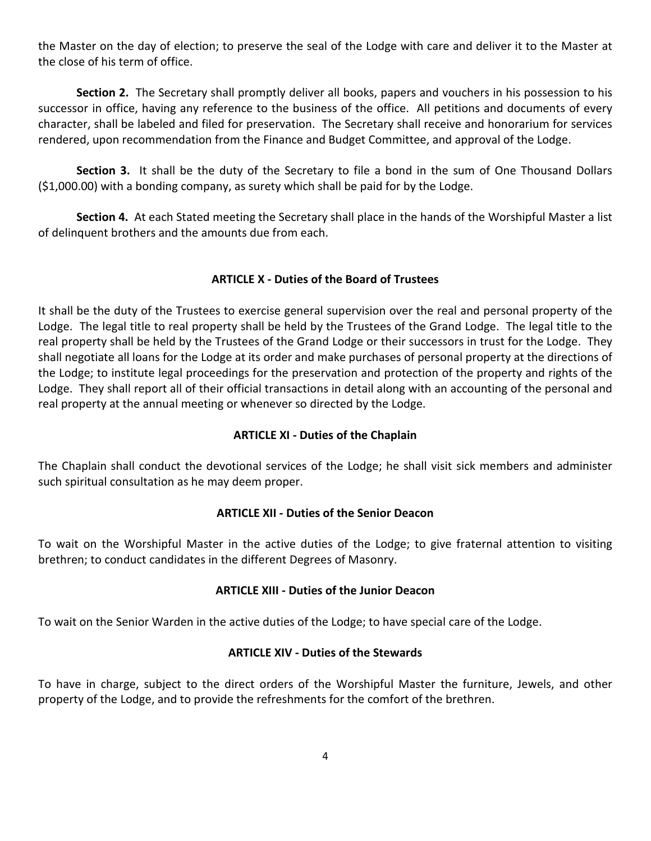the Master on the day of election; to preserve the seal of the Lodge with care and deliver it to the Master at the close of his term of office.

**Section 2.** The Secretary shall promptly deliver all books, papers and vouchers in his possession to his successor in office, having any reference to the business of the office. All petitions and documents of every character, shall be labeled and filed for preservation. The Secretary shall receive and honorarium for services rendered, upon recommendation from the Finance and Budget Committee, and approval of the Lodge.

**Section 3.** It shall be the duty of the Secretary to file a bond in the sum of One Thousand Dollars (\$1,000.00) with a bonding company, as surety which shall be paid for by the Lodge.

**Section 4.** At each Stated meeting the Secretary shall place in the hands of the Worshipful Master a list of delinquent brothers and the amounts due from each.

# **ARTICLE X - Duties of the Board of Trustees**

It shall be the duty of the Trustees to exercise general supervision over the real and personal property of the Lodge. The legal title to real property shall be held by the Trustees of the Grand Lodge. The legal title to the real property shall be held by the Trustees of the Grand Lodge or their successors in trust for the Lodge. They shall negotiate all loans for the Lodge at its order and make purchases of personal property at the directions of the Lodge; to institute legal proceedings for the preservation and protection of the property and rights of the Lodge. They shall report all of their official transactions in detail along with an accounting of the personal and real property at the annual meeting or whenever so directed by the Lodge.

# **ARTICLE XI - Duties of the Chaplain**

The Chaplain shall conduct the devotional services of the Lodge; he shall visit sick members and administer such spiritual consultation as he may deem proper.

# **ARTICLE XII - Duties of the Senior Deacon**

To wait on the Worshipful Master in the active duties of the Lodge; to give fraternal attention to visiting brethren; to conduct candidates in the different Degrees of Masonry.

# **ARTICLE XIII - Duties of the Junior Deacon**

To wait on the Senior Warden in the active duties of the Lodge; to have special care of the Lodge.

# **ARTICLE XIV - Duties of the Stewards**

To have in charge, subject to the direct orders of the Worshipful Master the furniture, Jewels, and other property of the Lodge, and to provide the refreshments for the comfort of the brethren.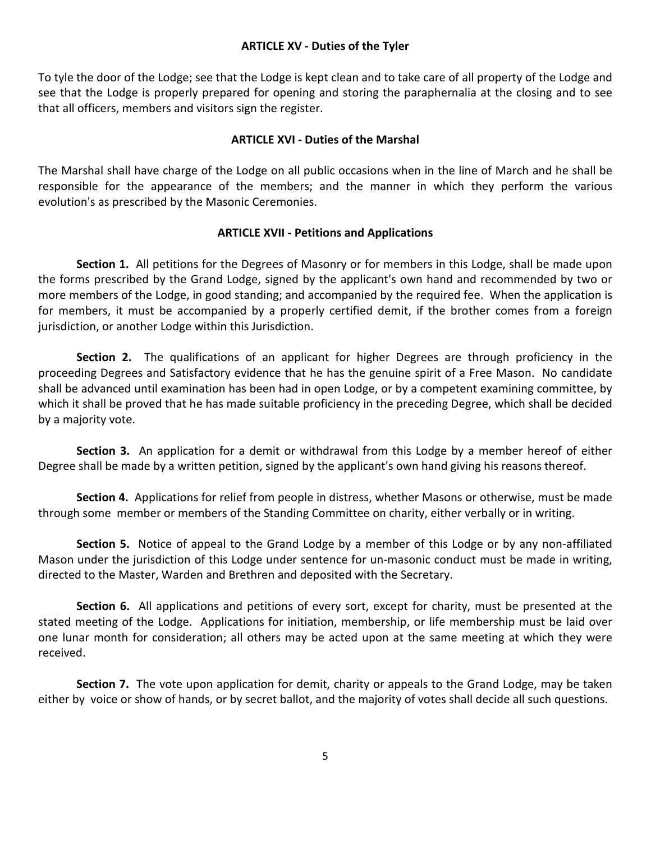### **ARTICLE XV - Duties of the Tyler**

To tyle the door of the Lodge; see that the Lodge is kept clean and to take care of all property of the Lodge and see that the Lodge is properly prepared for opening and storing the paraphernalia at the closing and to see that all officers, members and visitors sign the register.

### **ARTICLE XVI - Duties of the Marshal**

The Marshal shall have charge of the Lodge on all public occasions when in the line of March and he shall be responsible for the appearance of the members; and the manner in which they perform the various evolution's as prescribed by the Masonic Ceremonies.

### **ARTICLE XVII - Petitions and Applications**

**Section 1.** All petitions for the Degrees of Masonry or for members in this Lodge, shall be made upon the forms prescribed by the Grand Lodge, signed by the applicant's own hand and recommended by two or more members of the Lodge, in good standing; and accompanied by the required fee. When the application is for members, it must be accompanied by a properly certified demit, if the brother comes from a foreign jurisdiction, or another Lodge within this Jurisdiction.

**Section 2.** The qualifications of an applicant for higher Degrees are through proficiency in the proceeding Degrees and Satisfactory evidence that he has the genuine spirit of a Free Mason. No candidate shall be advanced until examination has been had in open Lodge, or by a competent examining committee, by which it shall be proved that he has made suitable proficiency in the preceding Degree, which shall be decided by a majority vote.

**Section 3.** An application for a demit or withdrawal from this Lodge by a member hereof of either Degree shall be made by a written petition, signed by the applicant's own hand giving his reasons thereof.

**Section 4.** Applications for relief from people in distress, whether Masons or otherwise, must be made through some member or members of the Standing Committee on charity, either verbally or in writing.

**Section 5.** Notice of appeal to the Grand Lodge by a member of this Lodge or by any non-affiliated Mason under the jurisdiction of this Lodge under sentence for un-masonic conduct must be made in writing, directed to the Master, Warden and Brethren and deposited with the Secretary.

**Section 6.** All applications and petitions of every sort, except for charity, must be presented at the stated meeting of the Lodge. Applications for initiation, membership, or life membership must be laid over one lunar month for consideration; all others may be acted upon at the same meeting at which they were received.

**Section 7.** The vote upon application for demit, charity or appeals to the Grand Lodge, may be taken either by voice or show of hands, or by secret ballot, and the majority of votes shall decide all such questions.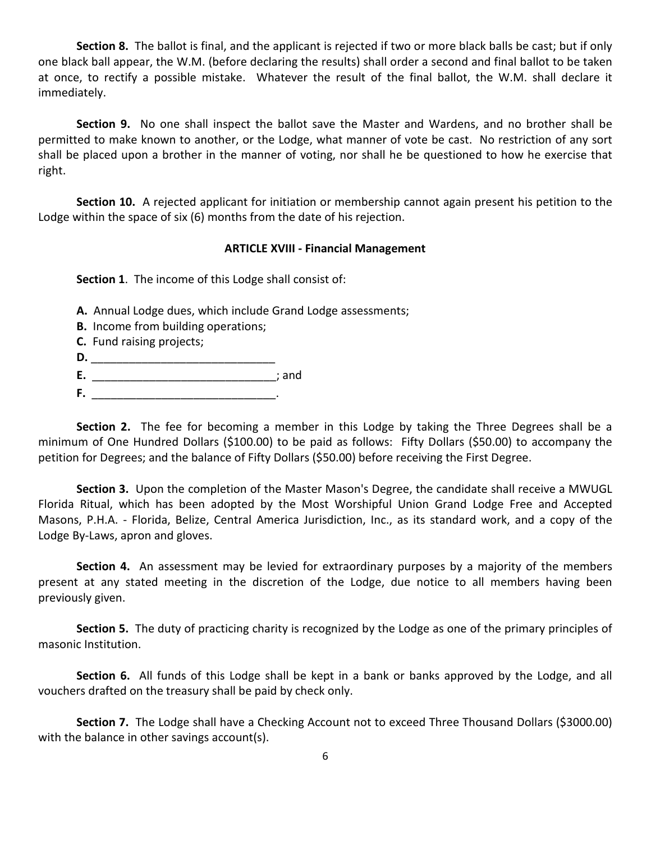**Section 8.** The ballot is final, and the applicant is rejected if two or more black balls be cast; but if only one black ball appear, the W.M. (before declaring the results) shall order a second and final ballot to be taken at once, to rectify a possible mistake. Whatever the result of the final ballot, the W.M. shall declare it immediately.

**Section 9.** No one shall inspect the ballot save the Master and Wardens, and no brother shall be permitted to make known to another, or the Lodge, what manner of vote be cast. No restriction of any sort shall be placed upon a brother in the manner of voting, nor shall he be questioned to how he exercise that right.

**Section 10.** A rejected applicant for initiation or membership cannot again present his petition to the Lodge within the space of six (6) months from the date of his rejection.

### **ARTICLE XVIII - Financial Management**

**Section 1**. The income of this Lodge shall consist of:

- **A.** Annual Lodge dues, which include Grand Lodge assessments;
- **B.** Income from building operations;
- **C.** Fund raising projects;
- **D.** \_\_\_\_\_\_\_\_\_\_\_\_\_\_\_\_\_\_\_\_\_\_\_\_\_\_\_\_\_
- **E.** \_\_\_\_\_\_\_\_\_\_\_\_\_\_\_\_\_\_\_\_\_\_\_\_\_\_\_\_\_; and
- **F.** \_\_\_\_\_\_\_\_\_\_\_\_\_\_\_\_\_\_\_\_\_\_\_\_\_\_\_\_\_.

**Section 2.** The fee for becoming a member in this Lodge by taking the Three Degrees shall be a minimum of One Hundred Dollars (\$100.00) to be paid as follows: Fifty Dollars (\$50.00) to accompany the petition for Degrees; and the balance of Fifty Dollars (\$50.00) before receiving the First Degree.

**Section 3.** Upon the completion of the Master Mason's Degree, the candidate shall receive a MWUGL Florida Ritual, which has been adopted by the Most Worshipful Union Grand Lodge Free and Accepted Masons, P.H.A. - Florida, Belize, Central America Jurisdiction, Inc., as its standard work, and a copy of the Lodge By-Laws, apron and gloves.

**Section 4.** An assessment may be levied for extraordinary purposes by a majority of the members present at any stated meeting in the discretion of the Lodge, due notice to all members having been previously given.

**Section 5.** The duty of practicing charity is recognized by the Lodge as one of the primary principles of masonic Institution.

**Section 6.** All funds of this Lodge shall be kept in a bank or banks approved by the Lodge, and all vouchers drafted on the treasury shall be paid by check only.

**Section 7.** The Lodge shall have a Checking Account not to exceed Three Thousand Dollars (\$3000.00) with the balance in other savings account(s).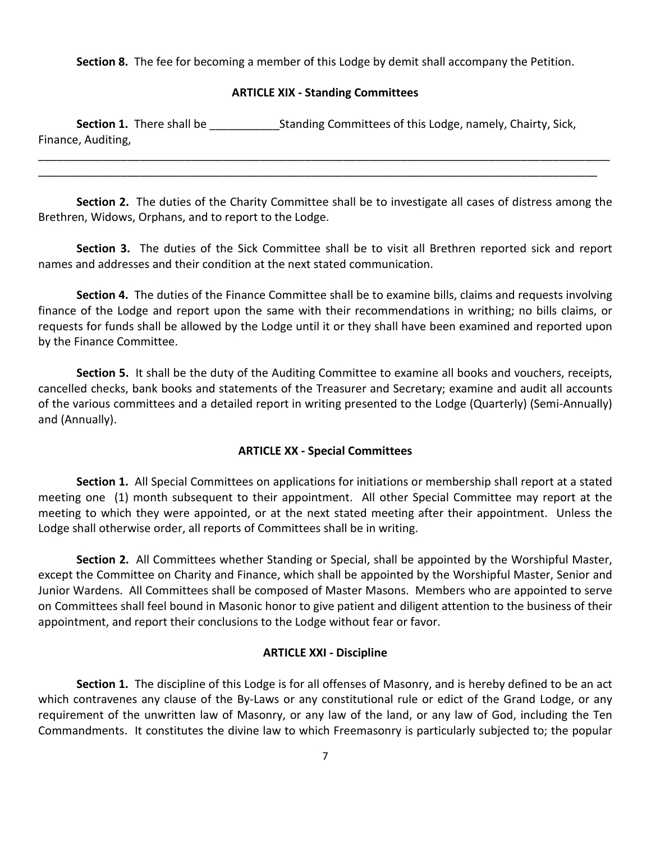**Section 8.** The fee for becoming a member of this Lodge by demit shall accompany the Petition.

### **ARTICLE XIX - Standing Committees**

**Section 1.** There shall be **Example 2.** Standing Committees of this Lodge, namely, Chairty, Sick, Finance, Auditing,

**Section 2.** The duties of the Charity Committee shall be to investigate all cases of distress among the Brethren, Widows, Orphans, and to report to the Lodge.

\_\_\_\_\_\_\_\_\_\_\_\_\_\_\_\_\_\_\_\_\_\_\_\_\_\_\_\_\_\_\_\_\_\_\_\_\_\_\_\_\_\_\_\_\_\_\_\_\_\_\_\_\_\_\_\_\_\_\_\_\_\_\_\_\_\_\_\_\_\_\_\_\_\_\_\_\_\_\_\_\_\_\_\_\_\_\_\_\_\_ \_\_\_\_\_\_\_\_\_\_\_\_\_\_\_\_\_\_\_\_\_\_\_\_\_\_\_\_\_\_\_\_\_\_\_\_\_\_\_\_\_\_\_\_\_\_\_\_\_\_\_\_\_\_\_\_\_\_\_\_\_\_\_\_\_\_\_\_\_\_\_\_\_\_\_\_\_\_\_\_\_\_\_\_\_\_\_\_

**Section 3.** The duties of the Sick Committee shall be to visit all Brethren reported sick and report names and addresses and their condition at the next stated communication.

**Section 4.** The duties of the Finance Committee shall be to examine bills, claims and requests involving finance of the Lodge and report upon the same with their recommendations in writhing; no bills claims, or requests for funds shall be allowed by the Lodge until it or they shall have been examined and reported upon by the Finance Committee.

**Section 5.** It shall be the duty of the Auditing Committee to examine all books and vouchers, receipts, cancelled checks, bank books and statements of the Treasurer and Secretary; examine and audit all accounts of the various committees and a detailed report in writing presented to the Lodge (Quarterly) (Semi-Annually) and (Annually).

### **ARTICLE XX - Special Committees**

**Section 1.** All Special Committees on applications for initiations or membership shall report at a stated meeting one (1) month subsequent to their appointment. All other Special Committee may report at the meeting to which they were appointed, or at the next stated meeting after their appointment. Unless the Lodge shall otherwise order, all reports of Committees shall be in writing.

**Section 2.** All Committees whether Standing or Special, shall be appointed by the Worshipful Master, except the Committee on Charity and Finance, which shall be appointed by the Worshipful Master, Senior and Junior Wardens. All Committees shall be composed of Master Masons. Members who are appointed to serve on Committees shall feel bound in Masonic honor to give patient and diligent attention to the business of their appointment, and report their conclusions to the Lodge without fear or favor.

### **ARTICLE XXI - Discipline**

**Section 1.** The discipline of this Lodge is for all offenses of Masonry, and is hereby defined to be an act which contravenes any clause of the By-Laws or any constitutional rule or edict of the Grand Lodge, or any requirement of the unwritten law of Masonry, or any law of the land, or any law of God, including the Ten Commandments. It constitutes the divine law to which Freemasonry is particularly subjected to; the popular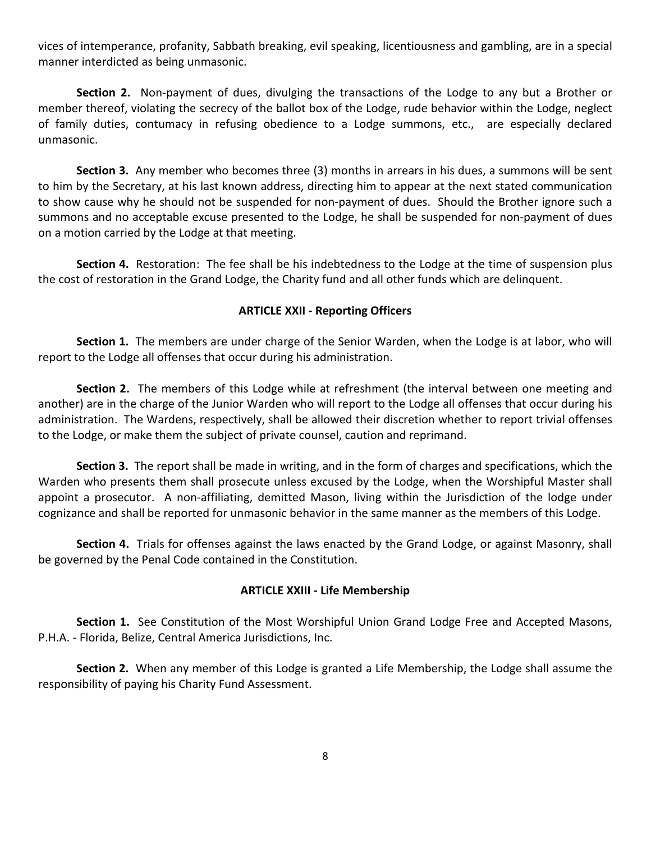vices of intemperance, profanity, Sabbath breaking, evil speaking, licentiousness and gambling, are in a special manner interdicted as being unmasonic.

**Section 2.** Non-payment of dues, divulging the transactions of the Lodge to any but a Brother or member thereof, violating the secrecy of the ballot box of the Lodge, rude behavior within the Lodge, neglect of family duties, contumacy in refusing obedience to a Lodge summons, etc., are especially declared unmasonic.

**Section 3.** Any member who becomes three (3) months in arrears in his dues, a summons will be sent to him by the Secretary, at his last known address, directing him to appear at the next stated communication to show cause why he should not be suspended for non-payment of dues. Should the Brother ignore such a summons and no acceptable excuse presented to the Lodge, he shall be suspended for non-payment of dues on a motion carried by the Lodge at that meeting.

**Section 4.** Restoration: The fee shall be his indebtedness to the Lodge at the time of suspension plus the cost of restoration in the Grand Lodge, the Charity fund and all other funds which are delinquent.

### **ARTICLE XXII - Reporting Officers**

**Section 1.** The members are under charge of the Senior Warden, when the Lodge is at labor, who will report to the Lodge all offenses that occur during his administration.

**Section 2.** The members of this Lodge while at refreshment (the interval between one meeting and another) are in the charge of the Junior Warden who will report to the Lodge all offenses that occur during his administration. The Wardens, respectively, shall be allowed their discretion whether to report trivial offenses to the Lodge, or make them the subject of private counsel, caution and reprimand.

**Section 3.** The report shall be made in writing, and in the form of charges and specifications, which the Warden who presents them shall prosecute unless excused by the Lodge, when the Worshipful Master shall appoint a prosecutor. A non-affiliating, demitted Mason, living within the Jurisdiction of the lodge under cognizance and shall be reported for unmasonic behavior in the same manner as the members of this Lodge.

**Section 4.** Trials for offenses against the laws enacted by the Grand Lodge, or against Masonry, shall be governed by the Penal Code contained in the Constitution.

### **ARTICLE XXIII - Life Membership**

**Section 1.** See Constitution of the Most Worshipful Union Grand Lodge Free and Accepted Masons, P.H.A. - Florida, Belize, Central America Jurisdictions, Inc.

**Section 2.** When any member of this Lodge is granted a Life Membership, the Lodge shall assume the responsibility of paying his Charity Fund Assessment.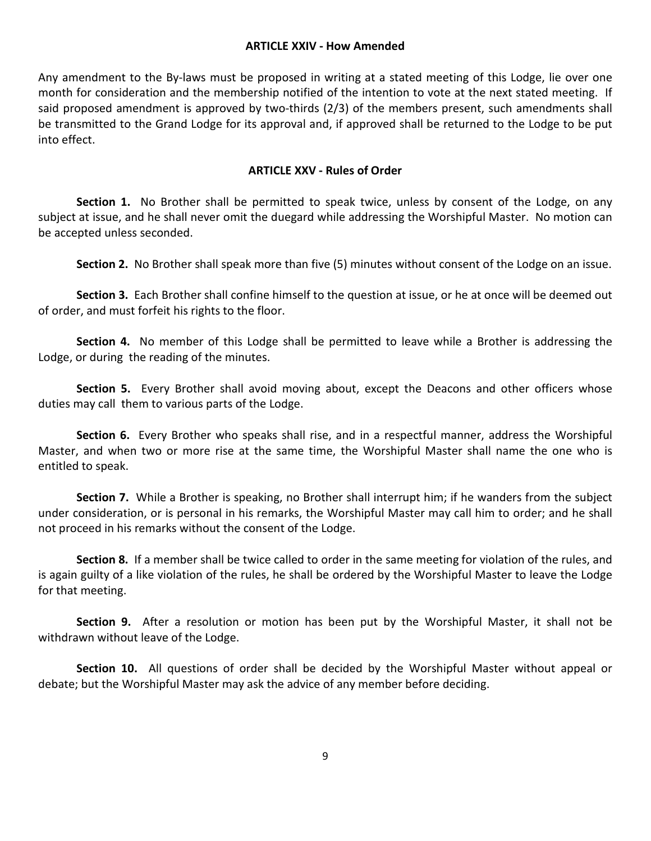#### **ARTICLE XXIV - How Amended**

Any amendment to the By-laws must be proposed in writing at a stated meeting of this Lodge, lie over one month for consideration and the membership notified of the intention to vote at the next stated meeting. If said proposed amendment is approved by two-thirds (2/3) of the members present, such amendments shall be transmitted to the Grand Lodge for its approval and, if approved shall be returned to the Lodge to be put into effect.

### **ARTICLE XXV - Rules of Order**

**Section 1.** No Brother shall be permitted to speak twice, unless by consent of the Lodge, on any subject at issue, and he shall never omit the duegard while addressing the Worshipful Master. No motion can be accepted unless seconded.

**Section 2.** No Brother shall speak more than five (5) minutes without consent of the Lodge on an issue.

**Section 3.** Each Brother shall confine himself to the question at issue, or he at once will be deemed out of order, and must forfeit his rights to the floor.

**Section 4.** No member of this Lodge shall be permitted to leave while a Brother is addressing the Lodge, or during the reading of the minutes.

**Section 5.** Every Brother shall avoid moving about, except the Deacons and other officers whose duties may call them to various parts of the Lodge.

**Section 6.** Every Brother who speaks shall rise, and in a respectful manner, address the Worshipful Master, and when two or more rise at the same time, the Worshipful Master shall name the one who is entitled to speak.

**Section 7.** While a Brother is speaking, no Brother shall interrupt him; if he wanders from the subject under consideration, or is personal in his remarks, the Worshipful Master may call him to order; and he shall not proceed in his remarks without the consent of the Lodge.

**Section 8.** If a member shall be twice called to order in the same meeting for violation of the rules, and is again guilty of a like violation of the rules, he shall be ordered by the Worshipful Master to leave the Lodge for that meeting.

**Section 9.** After a resolution or motion has been put by the Worshipful Master, it shall not be withdrawn without leave of the Lodge.

**Section 10.** All questions of order shall be decided by the Worshipful Master without appeal or debate; but the Worshipful Master may ask the advice of any member before deciding.